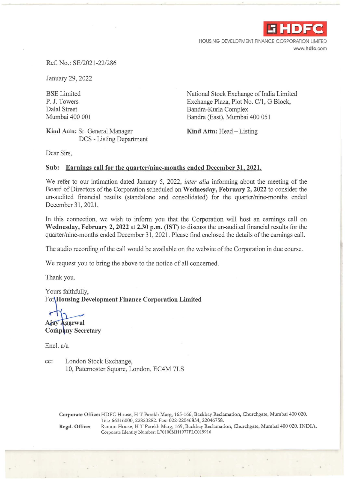

HOUSING DEVELOPMENT FINANCE CORPORATION LIMITED www.hdfc.com

#### Ref. No.: SE/2021-22/286

January 29, 2022

BSE Limited P. J. Towers Dalal Street Mumbai 400 001

**Kind Attn: Sr. General Manager** DCS - Listing Department National Stock Exchange of India Limited Exchange Plaza, Plot No. C/1, G Block, Bandra-Kurla Complex Bandra (East), Mumbai 400 051

**Kind Attn:** Head – Listing

Dear Sirs,

### **Sub: Earnings call for the quarter/nine-months ended December 31, 2021.**

We refer to our intimation dated January 5, 2022, *inter alia* informing about the meeting of the Board of Directors of the Corporation scheduled on **Wednesday, February 2, 2022** to consider the un-audited financial results (standalone and consolidated) for the quarter/nine-months ended December 31, 2021.

In this connection, we wish to inform you that the Corporation will host an earnings call on **Wednesday, February 2, 2022 at 2.30 p.m. (IST)** to discuss the un-audited financial results for the quarter/nine-months ended December 31, 2021. Please find enclosed the details of the earnings call.

The audio recording of the call would be available on the website of the Corporation in due course.

We request you to bring the above to the notice of all concerned.

Thank you.

Yours faithfully, Fo **Housing Development Finance Corporation Limited** 

Ajay Agarwal

**Company Secretary** 

Encl. a/a

cc: London Stock Exchange, 10, Paternoster Square, London, EC4M 7LS

> Corporate Office: HDFC House, HT Parekh Marg, 165-166, Backbay Reclamation, Churchgate, Mumbai 400 020. Tel.: 66316000, 22820282. Fax: 022-22046834, 22046758.

Regd. Office: Ramon House, HT Parekh Marg, 169, Backbay Reclamation, Churchgate, Mumbai 400 020. INDIA. Corporate Identity Number: L70100MH1977PLC019916